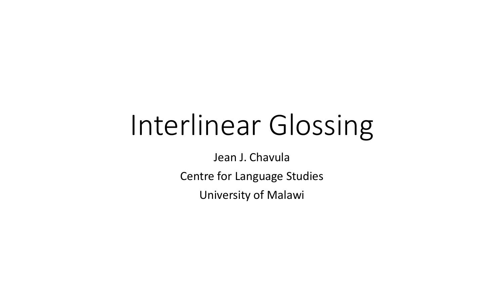# Interlinear Glossing

Jean J. Chavula

Centre for Language Studies

University of Malawi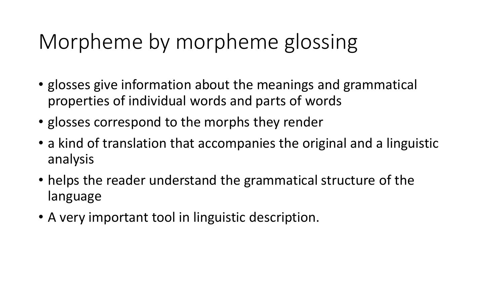### Morpheme by morpheme glossing

- glosses give information about the meanings and grammatical properties of individual words and parts of words
- glosses correspond to the morphs they render
- a kind of translation that accompanies the original and a linguistic analysis
- helps the reader understand the grammatical structure of the language
- A very important tool in linguistic description.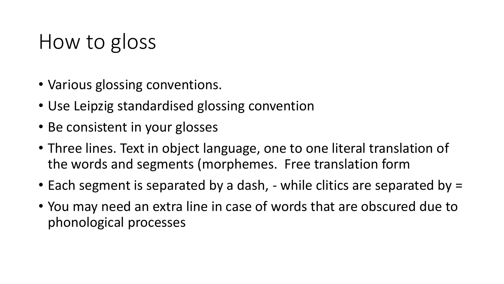#### How to gloss

- Various glossing conventions.
- Use Leipzig standardised glossing convention
- Be consistent in your glosses
- Three lines. Text in object language, one to one literal translation of the words and segments (morphemes. Free translation form
- Each segment is separated by a dash, while clitics are separated by =
- You may need an extra line in case of words that are obscured due to phonological processes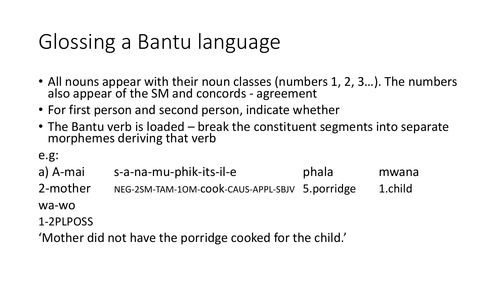## Glossing a Bantu language

- All nouns appear with their noun classes (numbers 1, 2, 3...). The numbers also appear of the SM and concords - agreement
- For first person and second person, indicate whether
- The Bantu verb is loaded break the constituent segments into separate morphemes deriving that verb

e.g:

a) A-mai s-a-na-mu-phik-its-il-e phala mwana 2-mother NEG-2SM-TAM-10M-cook-CAUS-APPL-SBJV 5.porridge 1.child wa-wo 1-2PLPOSS

'Mother did not have the porridge cooked for the child.'